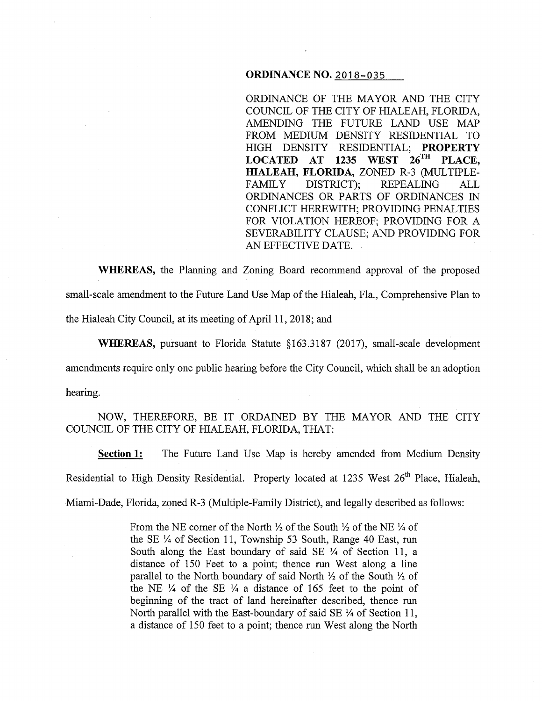# **ORDINANCE NO. 2018-035**

ORDINANCE OF THE MAYOR AND THE CITY COUNCIL OF THE CITY OF HIALEAH, FLORIDA, AMENDING THE FUTURE LAND USE MAP FROM MEDIUM DENSITY RESIDENTIAL TO HIGH DENSITY RESIDENTIAL; **PROPERTY LOCATED AT 1235 WEST 26™ PLACE, HIALEAH, FLORIDA,** ZONED R-3 (MULTIPLE-FAMILY DISTRICT); REPEALING ALL ORDINANCES OR PARTS OF ORDINANCES IN CONFLICT HEREWITH; PROVIDING PENAL TIES FOR VIOLATION HEREOF; PROVIDING FOR A SEVERABILITY CLAUSE; AND PROVIDING FOR AN EFFECTIVE DATE. .

**WHEREAS,** the Planning and Zoning Board recommend approval of the proposed small-scale amendment to the Future Land Use Map of the Hialeah, Fla., Comprehensive Plan to the Hialeah City Council, at its meeting of April 11, 2018; and

**WHEREAS,** pursuant to Florida Statute §163.3187 (2017), small-scale development amendments require only one public hearing before the City Council, which shall be an adoption hearing.

NOW, THEREFORE, BE IT ORDAINED BY THE MAYOR AND THE CITY COUNCIL OF THE CITY OF HIALEAH, FLORIDA, THAT:

**Section 1:** The Future Land Use Map is hereby amended from Medium Density Residential to High Density Residential. Property located at 1235 West  $26<sup>th</sup>$  Place, Hialeah, Miami-Dade, Florida, zoned R-3 (Multiple-Family District), and legally described as follows:

> From the NE corner of the North  $\frac{1}{2}$  of the South  $\frac{1}{2}$  of the NE  $\frac{1}{4}$  of the SE  $\frac{1}{4}$  of Section 11, Township 53 South, Range 40 East, run South along the East boundary of said SE  $\frac{1}{4}$  of Section 11, a distance of 150 Feet to a point; thence run West along a line parallel to the North boundary of said North *Yz* of the South *Yz* of the NE  $\frac{1}{4}$  of the SE  $\frac{1}{4}$  a distance of 165 feet to the point of beginning of the tract of land hereinafter described, thence run North parallel with the East-boundary of said SE  $\frac{1}{4}$  of Section 11, a distance of 150 feet to a point; thence run West along the North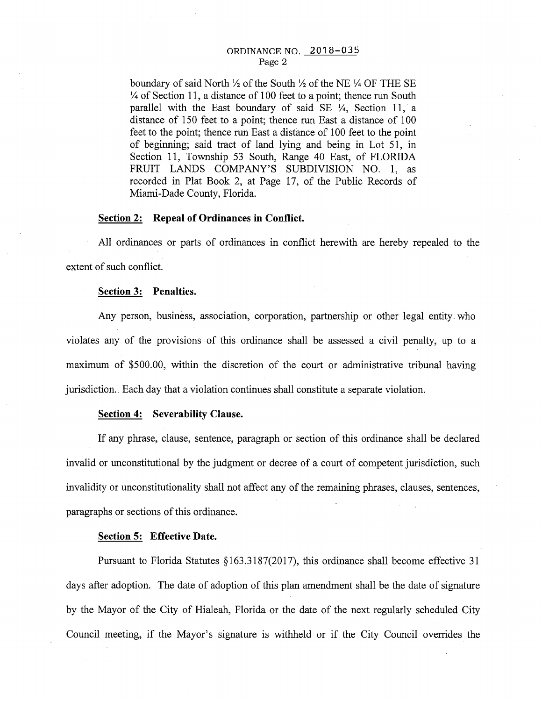### ORDINANCE NO. 2018-035 Page 2

boundary of said North  $\frac{1}{2}$  of the South  $\frac{1}{2}$  of the NE  $\frac{1}{4}$  OF THE SE  $\frac{1}{4}$  of Section 11, a distance of 100 feet to a point; thence run South parallel with the East boundary of said SE  $\frac{1}{4}$ , Section 11, a distance of 150 feet to a point; thence run East a distance of 100 feet to the point; thence run East a distance of 100 feet to the point of beginning; said tract of land lying and being in Lot 51, in Section 11, Township 53 South, Range 40 East, of FLORIDA FRUIT LANDS COMPANY'S SUBDIVISION NO. 1, as recorded in Plat Book 2, at Page 17, of the Public Records of Miami-Dade County, Florida.

#### **Section 2: Repeal of Ordinances in Conflict.**

All ordinances or parts of ordinances in conflict herewith are hereby repealed to the extent of such conflict.

### **Section 3: Penalties.**

Any person, business, association, corporation, partnership or other legal entity. who violates any of the provisions of this ordinance shall be assessed a civil penalty, up to a maximum of \$500.00, within the discretion of the court or administrative tribunal having jurisdiction. Each day that a violation continues shall constitute a separate violation.

## **Section 4: Severability Clause.**

If any phrase, clause, sentence, paragraph or section of this ordinance shall be declared invalid or unconstitutional by the judgment or decree of a court of competent jurisdiction, such invalidity or unconstitutionality shall not affect any of the remaining phrases, clauses, sentences, paragraphs or sections of this ordinance.

## **Section 5: Effective Date.**

Pursuant to Florida Statutes §163.3187(2017), this ordinance shall become effective 31 days after adoption. The date of adoption of this plan amendment shall be the date of signature by the Mayor of the City of Hialeah, Florida or the date of the next regularly scheduled City Council meeting, if the Mayor's signature is withheld or if the City Council overrides the